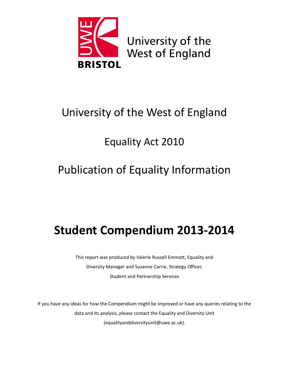

# University of the West of England

# Equality Act 2010

# Publication of Equality Information

# **Student Compendium 2013-2014**

This report was produced by Valerie Russell Emmott, Equality and Diversity Manager and Suzanne Carrie, Strategy Officer, Student and Partnership Services

If you have any ideas for how the Compendium might be improved or have any queries relating to the data and its analysis, please contact the Equality and Diversity Unit (equalityanddiversityunit@uwe.ac.uk).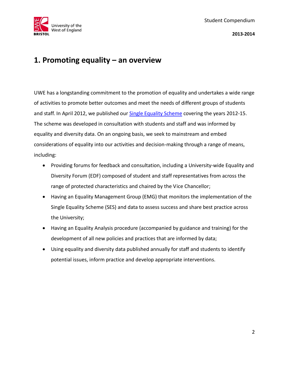

# **1. Promoting equality – an overview**

UWE has a longstanding commitment to the promotion of equality and undertakes a wide range of activities to promote better outcomes and meet the needs of different groups of students and staff. In April 2012, we published our [Single Equality Scheme](http://www1.uwe.ac.uk/aboutus/visionandmission/equalityanddiversity/singleequalityscheme.aspx) covering the years 2012-15. The scheme was developed in consultation with students and staff and was informed by equality and diversity data. On an ongoing basis, we seek to mainstream and embed considerations of equality into our activities and decision-making through a range of means, including:

- Providing forums for feedback and consultation, including a University-wide Equality and Diversity Forum (EDF) composed of student and staff representatives from across the range of protected characteristics and chaired by the Vice Chancellor;
- Having an Equality Management Group (EMG) that monitors the implementation of the Single Equality Scheme (SES) and data to assess success and share best practice across the University;
- Having an Equality Analysis procedure (accompanied by guidance and training) for the development of all new policies and practices that are informed by data;
- Using equality and diversity data published annually for staff and students to identify potential issues, inform practice and develop appropriate interventions.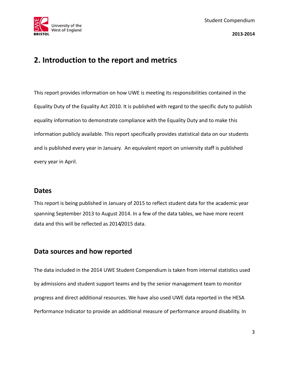

# **2. Introduction to the report and metrics**

This report provides information on how UWE is meeting its responsibilities contained in the Equality Duty of the Equality Act 2010. It is published with regard to the specific duty to publish equality information to demonstrate compliance with the Equality Duty and to make this information publicly available. This report specifically provides statistical data on our students and is published every year in January. An equivalent report on university staff is published every year in April.

#### **Dates**

This report is being published in January of 2015 to reflect student data for the academic year spanning September 2013 to August 2014. In a few of the data tables, we have more recent data and this will be reflected as 2014/2015 data.

### **Data sources and how reported**

The data included in the 2014 UWE Student Compendium is taken from internal statistics used by admissions and student support teams and by the senior management team to monitor progress and direct additional resources. We have also used UWE data reported in the HESA Performance Indicator to provide an additional measure of performance around disability. In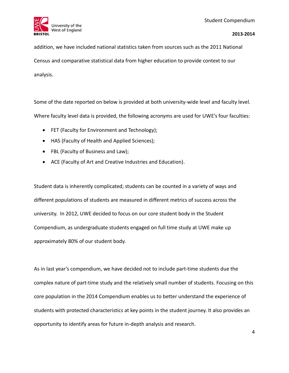

addition, we have included national statistics taken from sources such as the 2011 National Census and comparative statistical data from higher education to provide context to our analysis.

Some of the date reported on below is provided at both university-wide level and faculty level. Where faculty level data is provided, the following acronyms are used for UWE's four faculties:

- **FET (Faculty for Environment and Technology);**
- HAS (Faculty of Health and Applied Sciences);
- FBL (Faculty of Business and Law);
- ACE (Faculty of Art and Creative Industries and Education).

Student data is inherently complicated; students can be counted in a variety of ways and different populations of students are measured in different metrics of success across the university. In 2012, UWE decided to focus on our core student body in the Student Compendium, as undergraduate students engaged on full time study at UWE make up approximately 80% of our student body.

As in last year's compendium, we have decided not to include part-time students due the complex nature of part-time study and the relatively small number of students. Focusing on this core population in the 2014 Compendium enables us to better understand the experience of students with protected characteristics at key points in the student journey. It also provides an opportunity to identify areas for future in-depth analysis and research.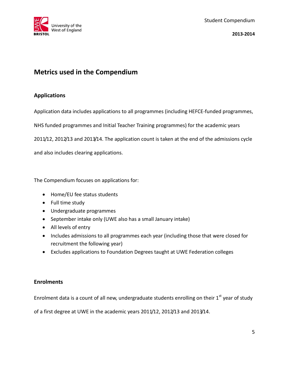

### **Metrics used in the Compendium**

#### **Applications**

Application data includes applications to all programmes (including HEFCE-funded programmes,

NHS funded programmes and Initial Teacher Training programmes) for the academic years

2011/12, 2012/13 and 2013/14. The application count is taken at the end of the admissions cycle

and also includes clearing applications.

The Compendium focuses on applications for:

- Home/EU fee status students
- Full time study
- Undergraduate programmes
- September intake only (UWE also has a small January intake)
- All levels of entry
- Includes admissions to all programmes each year (including those that were closed for recruitment the following year)
- Excludes applications to Foundation Degrees taught at UWE Federation colleges

#### **Enrolments**

Enrolment data is a count of all new, undergraduate students enrolling on their  $1<sup>st</sup>$  year of study

of a first degree at UWE in the academic years 2011/12, 2012/13 and 2013/14.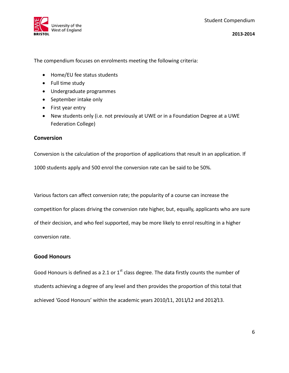

The compendium focuses on enrolments meeting the following criteria:

- Home/EU fee status students
- Full time study
- Undergraduate programmes
- September intake only
- First year entry
- New students only (i.e. not previously at UWE or in a Foundation Degree at a UWE Federation College)

#### **Conversion**

Conversion is the calculation of the proportion of applications that result in an application. If 1000 students apply and 500 enrol the conversion rate can be said to be 50%.

Various factors can affect conversion rate; the popularity of a course can increase the competition for places driving the conversion rate higher, but, equally, applicants who are sure of their decision, and who feel supported, may be more likely to enrol resulting in a higher conversion rate.

#### **Good Honours**

Good Honours is defined as a 2.1 or  $1<sup>st</sup>$  class degree. The data firstly counts the number of students achieving a degree of any level and then provides the proportion of this total that achieved 'Good Honours' within the academic years 2010/11, 2011/12 and 2012/13.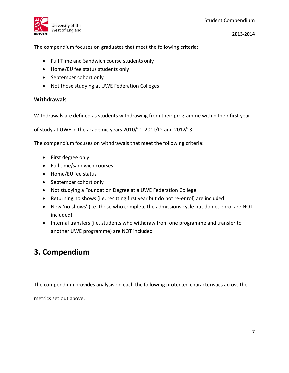

The compendium focuses on graduates that meet the following criteria:

- Full Time and Sandwich course students only
- Home/EU fee status students only
- September cohort only
- Not those studying at UWE Federation Colleges

#### **Withdrawals**

Withdrawals are defined as students withdrawing from their programme within their first year

of study at UWE in the academic years 2010/11, 2011/12 and 2012/13.

The compendium focuses on withdrawals that meet the following criteria:

- First degree only
- Full time/sandwich courses
- Home/EU fee status
- September cohort only
- Not studying a Foundation Degree at a UWE Federation College
- Returning no shows (i.e. resitting first year but do not re-enrol) are included
- New 'no-shows' (i.e. those who complete the admissions cycle but do not enrol are NOT included)
- Internal transfers (i.e. students who withdraw from one programme and transfer to another UWE programme) are NOT included

# **3. Compendium**

The compendium provides analysis on each the following protected characteristics across the

metrics set out above.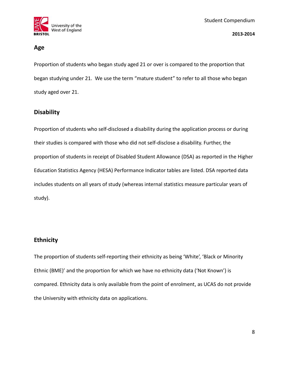

#### **Age**

Proportion of students who began study aged 21 or over is compared to the proportion that began studying under 21. We use the term "mature student" to refer to all those who began study aged over 21.

#### **Disability**

Proportion of students who self-disclosed a disability during the application process or during their studies is compared with those who did not self-disclose a disability. Further, the proportion of students in receipt of Disabled Student Allowance (DSA) as reported in the Higher Education Statistics Agency (HESA) Performance Indicator tables are listed. DSA reported data includes students on all years of study (whereas internal statistics measure particular years of study).

#### **Ethnicity**

The proportion of students self-reporting their ethnicity as being 'White', 'Black or Minority Ethnic (BME)' and the proportion for which we have no ethnicity data ('Not Known') is compared. Ethnicity data is only available from the point of enrolment, as UCAS do not provide the University with ethnicity data on applications.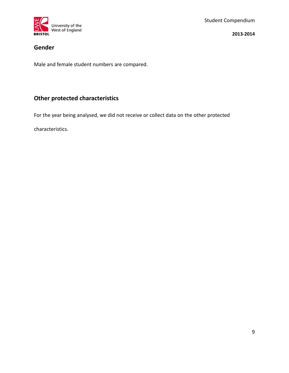

Student Compendium

**2013-2014**

### **Gender**

Male and female student numbers are compared.

### **Other protected characteristics**

For the year being analysed, we did not receive or collect data on the other protected

characteristics.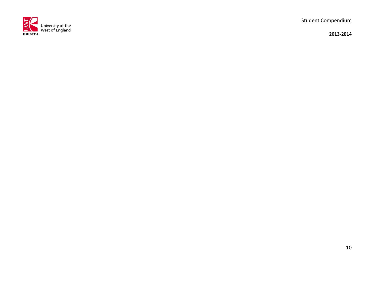

Student Compendium

**2013-2014**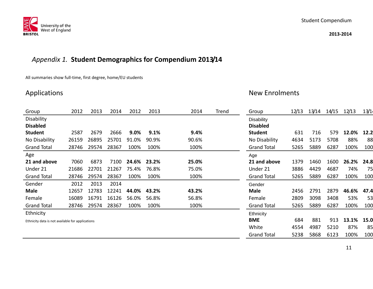

# *Appendix 1.* **Student Demographics for Compendium 2013/14**

All summaries show full-time, first degree, home/EU students

### Applications **New Enrolments**

| Group                                            | 2012  | 2013  | 2014  | 2012  | 2013  | 2014       | Trend | Group              | 12/13 | 13/14 | 14/15 | 12/13 | 13/14 |
|--------------------------------------------------|-------|-------|-------|-------|-------|------------|-------|--------------------|-------|-------|-------|-------|-------|
| Disability                                       |       |       |       |       |       |            |       | <b>Disability</b>  |       |       |       |       |       |
| <b>Disabled</b>                                  |       |       |       |       |       |            |       | <b>Disabled</b>    |       |       |       |       |       |
| <b>Student</b>                                   | 2587  | 2679  | 2666  | 9.0%  | 9.1%  | 9.4%       |       | <b>Student</b>     | 631   | 716   | 579   | 12.0% | 12.2  |
| No Disability                                    | 26159 | 26895 | 25701 | 91.0% | 90.9% | 90.6%      |       | No Disability      | 4634  | 5173  | 5708  | 88%   | 88    |
| <b>Grand Total</b>                               | 28746 | 29574 | 28367 | 100%  | 100%  | 100%       |       | <b>Grand Total</b> | 5265  | 5889  | 6287  | 100%  | 100   |
| Age                                              |       |       |       |       |       |            |       | Age                |       |       |       |       |       |
| 21 and above                                     | 7060  | 6873  | 7100  | 24.6% | 23.2% | 25.0%      |       | 21 and above       | 1379  | 1460  | 1600  | 26.2% | 24.8  |
| Under 21                                         | 21686 | 22701 | 21267 | 75.4% | 76.8% | 75.0%      |       | Under 21           | 3886  | 4429  | 4687  | 74%   | 75    |
| <b>Grand Total</b>                               | 28746 | 29574 | 28367 | 100%  | 100%  | 100%       |       | <b>Grand Total</b> | 5265  | 5889  | 6287  | 100%  | 100   |
| Gender                                           | 2012  | 2013  | 2014  |       |       |            |       | Gender             |       |       |       |       |       |
| <b>Male</b>                                      | 12657 | 12783 | 12241 | 44.0% | 43.2% | 43.2%      |       | <b>Male</b>        | 2456  | 2791  | 2879  | 46.6% | 47.4  |
| Female                                           | 16089 | 16791 | 16126 | 56.0% | 56.8% | 56.8%      |       | Female             | 2809  | 3098  | 3408  | 53%   | 53    |
| <b>Grand Total</b>                               | 28746 | 29574 | 28367 | 100%  | 100%  | 100%       |       | <b>Grand Total</b> | 5265  | 5889  | 6287  | 100%  | 100   |
| Ethnicity                                        |       |       |       |       |       |            |       | Ethnicity          |       |       |       |       |       |
| Ethnicity data is not available for applications |       |       |       |       |       | <b>BME</b> | 684   | 881                | 913   | 13.1% | 15.0  |       |       |
|                                                  |       |       |       |       |       |            |       | White              | 4554  | 4987  | 5210  | 87%   | 85    |
|                                                  |       |       |       |       |       |            |       | <b>Grand Total</b> | 5238  | 5868  | 6123  | 100%  | 100   |